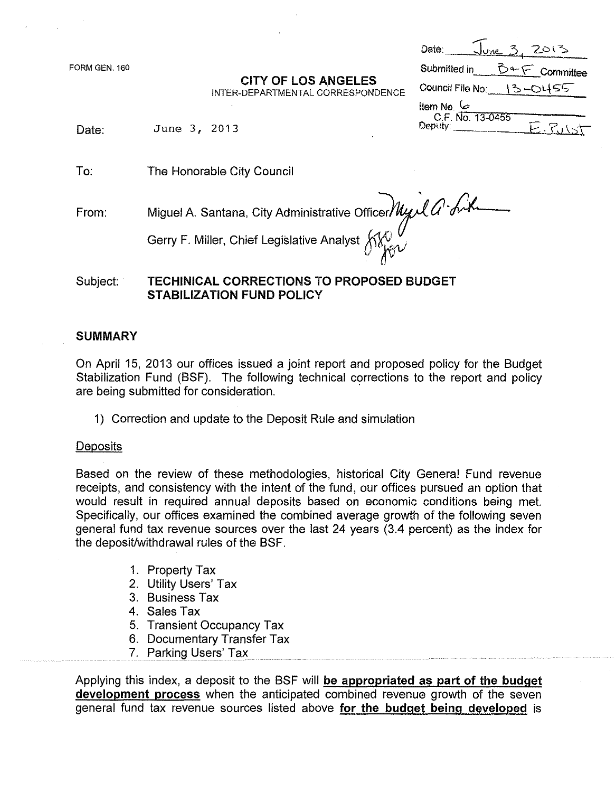FORM GEN. 160

## CITY OF LOS ANGELES

| Date:                        | <u>lune 3.</u> |                   |
|------------------------------|----------------|-------------------|
| Submitted in                 |                | $5 + 5$ Committee |
| Council File No: $\{3\}$     |                | $-0455$           |
| ط) .htem No                  |                |                   |
| C.F. No. 13-0455<br>Deputy _ |                |                   |

,.-r

INTER-DEPARTMENTAL CORRESPONDENCE

Date: June 3, 2013

To: The Honorable City Council

From:

Miguel <sup>A</sup> Santana, City Administrative OffiC?JA- *t?~*

Gerry F. Miller, Chief Legislative Analyst  $\bigwedge^{\bullet}_{i\in\mathcal{A}}$ 

TECHINICAL CORRECTIONS TO PROPOSED BUDGET STABILIZATION FUND POLICY Subject:

# **SUMMARY**

On April 15, 2013 our offices issued a joint report and proposed policy for the Budget Stabilization Fund (BSF). The following technical corrections to the report and policy are being submitted for consideration. .

1) Correction and update to the Deposit Rule and simulation

## **Deposits**

Based on the review of these methodologies, historical City General Fund revenue receipts, and consistency with the intent of the fund, our offices pursued an option that would result in required annual deposits based on economic conditions being met. Specifically, our offices examined the combined average growth of the following seven general fund tax revenue sources over the last 24 years (3.4 percent) as the index for the deposit/withdrawal rules of the BSF.

- 1. Property Tax
- 2. Utility Users' Tax
- 3. Business Tax
- 4. Sales Tax
- 5. Transient Occupancy Tax
- 6. Documentary Transfer Tax
- 7. Parking Users' Tax

Applying this index, a deposit to the BSF will be appropriated as part of the budget development process when the anticipated combined revenue growth of the seven general fund tax revenue sources listed above for the budget being developed is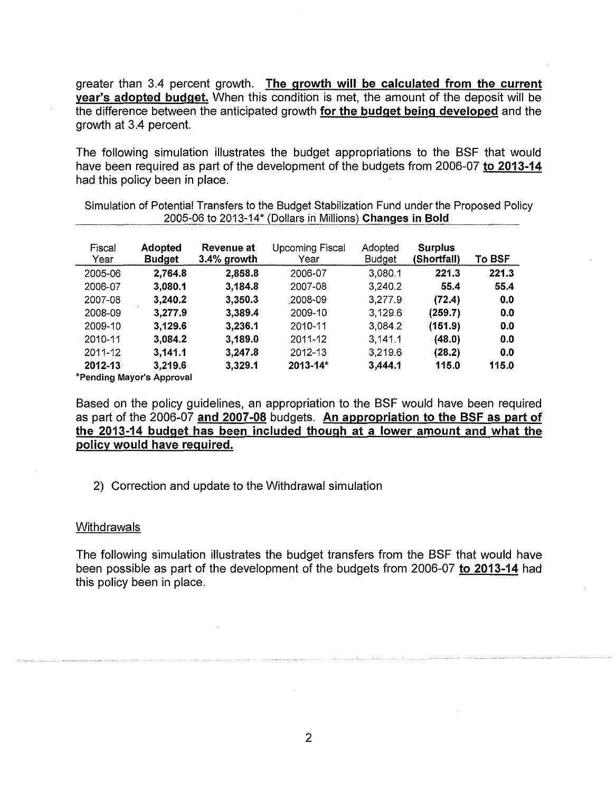greater than 3.4 percent growth. The growth will be calculated from the current year's adopted budget. When this condition is met, the amount of the deposit will be the difference between the anticipated growth for the budget being developed and the growth at 3.4 percent.

The following simulation illustrates the budget appropriations to the BSF that would have been required as part of the development of the budgets from 2006-07 to 2013-14 had this policy been in place.

| Fiscal<br>Year | <b>Adopted</b><br><b>Budget</b> | Revenue at<br>$3.4\%$ growth | <b>Upcoming Fiscal</b><br>Year | Adopted<br><b>Budget</b> | <b>Surplus</b><br>(Shortfall) | To BSF |
|----------------|---------------------------------|------------------------------|--------------------------------|--------------------------|-------------------------------|--------|
| 2005-06        | 2,764.8                         | 2,858.8                      | 2006-07                        | 3,080.1                  | 221.3                         | 221.3  |
| 2006-07        | 3,080.1                         | 3,184.8                      | 2007-08                        | 3.240.2                  | 55.4                          | 55.4   |
| 2007-08        | 3,240.2                         | 3,350.3                      | 2008-09                        | 3,277.9                  | (72.4)                        | 0.0    |
| 2008-09        | 3,277.9                         | 3,389.4                      | 2009-10                        | 3 1 2 9 6                | (259.7)                       | 0.0    |
| 2009-10        | 3,129.6                         | 3,236.1                      | 2010-11                        | 3.0842                   | (151.9)                       | 0.0    |
| 2010-11        | 3,084.2                         | 3,189.0                      | 2011-12                        | 3 141 1                  | (48.0)                        | 0.0    |
| $2011 - 12$    | 3,141.1                         | 3,247.8                      | 2012-13                        | 3,219.6                  | (28.2)                        | 0.0    |
| $2012 - 13$    | 3,219.6                         | 3,329.1                      | $2013 - 14*$                   | 3.444.1                  | 115.0                         | 115.0  |
|                |                                 |                              |                                |                          |                               |        |

Simulation of Potential Transfers to the Budget Stabilization Fund under the Proposed Policy 2005-06 to 2013-14\* (Dollars in Millions) Changes in Bold

\*Pending Mayor's Approval

Based on the policy guidelines, an appropriation to the BSF would have been required as part of the 2006-07 and 2007-08 budgets. An appropriation to the BSF as part of the 2013-14 budget has been included though at a lower amount and what the policy would have required.

2) Correction and update to the Withdrawal simulation

### **Withdrawals**

The following simulation illustrates the budget transfers from the BSF that would have been possible as part of the development of the budgets from 2006-07 to 2013-14 had this policy been in place.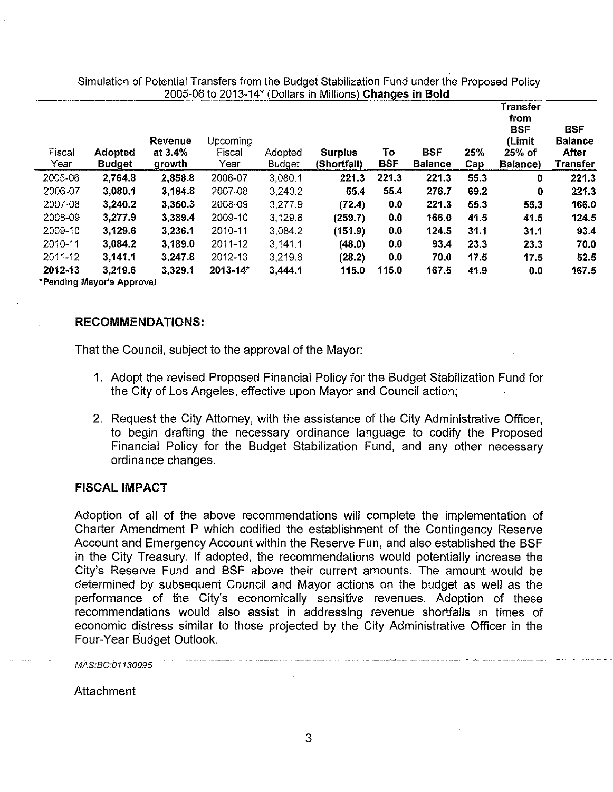Simulation of Potential Transfers from the Budget Stabilization Fund under the Proposed Policy 2005-06 to 2013-14\* (Dollars in Millions) Changes in Bold

| Fiscal<br>Year | <b>Adopted</b><br><b>Budget</b> | Revenue<br>at $3.4%$<br>growth | Upcoming<br>Fiscal<br>Year | Adopted<br><b>Budget</b> | <b>Surplus</b><br>(Shortfall) | To<br><b>BSF</b> | <b>BSF</b><br><b>Balance</b> | 25%<br>Cap | Transfer<br>from<br><b>BSF</b><br>(Limit<br>$25%$ of<br>Balance) | <b>BSF</b><br><b>Balance</b><br>After<br>Transfer |
|----------------|---------------------------------|--------------------------------|----------------------------|--------------------------|-------------------------------|------------------|------------------------------|------------|------------------------------------------------------------------|---------------------------------------------------|
| 2005-06        | 2.764.8                         | 2,858.8                        | 2006-07                    | 3,080.1                  | 221.3                         | 221.3            | 221.3                        | 55.3       | 0                                                                | 221.3                                             |
| 2006-07        | 3,080.1                         | 3,184.8                        | 2007-08                    | 3,240.2                  | 55.4                          | 55.4             | 276.7                        | 69.2       | 0                                                                | 221.3                                             |
| 2007-08        | 3.240.2                         | 3,350.3                        | 2008-09                    | 3,277.9                  | (72.4)                        | 0.0              | 221.3                        | 55.3       | 55.3                                                             | 166.0                                             |
| 2008-09        | 3,277.9                         | 3,389.4                        | 2009-10                    | 3,129.6                  | (259.7)                       | 0.0              | 166.0                        | 41.5       | 41.5                                                             | 124.5                                             |
| 2009-10        | 3,129.6                         | 3,236.1                        | 2010-11                    | 3.084.2                  | (151.9)                       | 0.0              | 124.5                        | 31.1       | 31.1                                                             | 93.4                                              |
| 2010-11        | 3,084.2                         | 3,189.0                        | 2011-12                    | 3,141.1                  | (48.0)                        | 0.0              | 93.4                         | 23.3       | 23.3                                                             | 70.0                                              |
| 2011-12        | 3,141.1                         | 3,247.8                        | $2012 - 13$                | 3,219.6                  | (28.2)                        | 0.0              | 70.0                         | 17.5       | 17.5                                                             | 52.5                                              |
| 2012-13        | 3.219.6                         | 3,329.1                        | $2013 - 14$                | 3,444.1                  | 115.0                         | 115.0            | 167.5                        | 41.9       | 0.0                                                              | 167.5                                             |
|                | *Pending Mayor's Approval       |                                |                            |                          |                               |                  |                              |            |                                                                  |                                                   |

RECOMMENDATIONS:

That the Council, subject to the approval of the Mayor:

- 1. Adopt the revised Proposed Financial Policy for the Budget Stabilization Fund for the City of Los Angeles, effective upon Mayor and Council action;
- 2. Request the City Attorney, with the assistance of the City Administrative Officer, to begin drafting the necessary ordinance language to codify the Proposed Financial Policy for the Budget Stabilization Fund, and any other necessary ordinance changes.

### FISCAL IMPACT

Adoption of all of the above recommendations will complete the implementation of Charter Amendment P which codified the establishment of the Contingency Reserve Account and Emergency Account within the Reserve Fun, and also established the BSF in the City Treasury. If adopted, the recommendations would potentially increase the City's Reserve Fund and BSF above their current amounts. The amount would be determined by subsequent Council and Mayor actions on the budget as well as the performance of the City's economically sensitive revenues. Adoption of these recommendations would also assist in addressing revenue shortfalls in times of economic distress similar to those projected by the City Administrative Officer in the Four-Year Budget Outlook.

MAS:BC:01130095

Attachment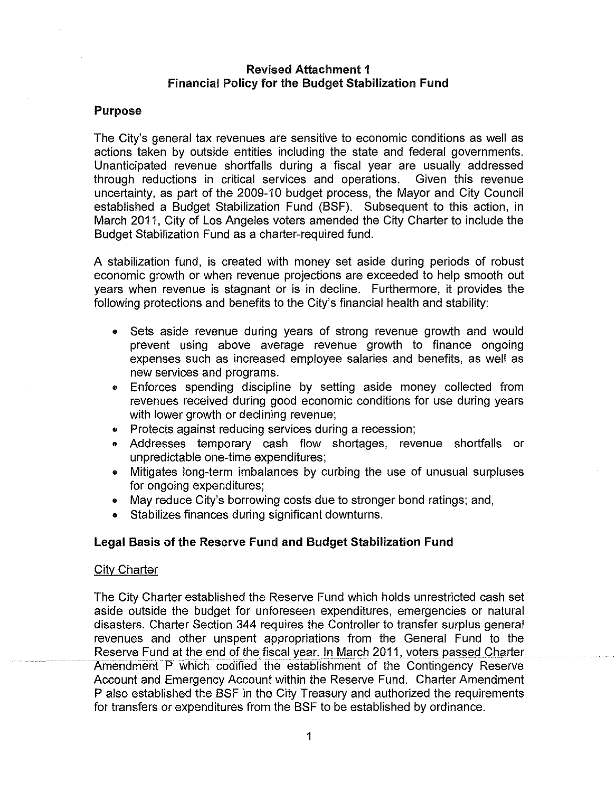# Revised Attachment 1 Financial Policy for the Budget Stabilization Fund

## Purpose

The City's general tax revenues are sensitive to economic conditions as well as actions taken by outside entities including the state and federal governments. Unanticipated revenue shortfalls during a fiscal year are usually addressed through reductions in critical services and operations. Given this revenue uncertainty, as part of the 2009-10 budget process, the Mayor and City Council established a Budget Stabilization Fund (BSF). Subsequent to this action, in March 2011, City of Los Angeles voters amended the City Charter to include the Budget Stabilization Fund as a charter-required fund.

A stabilization fund, is created with money set aside during periods of robust economic growth or when revenue projections are exceeded to help smooth out years when revenue is stagnant or is in decline. Furthermore, it provides the following protections and benefits to the City's financial health and stability:

- Sets aside revenue during years of strong revenue growth and would prevent using above average revenue growth to finance ongoing expenses such as increased employee salaries and benefits, as well as new services and programs.
- Enforces spending discipline by setting aside money collected from revenues received during good economic conditions for use during years with lower growth or declining revenue;
- Protects against reducing services during a recession;
- Addresses temporary cash flow shortages, revenue shortfalls or unpredictable one-time expenditures;
- Mitigates long-term imbalances by curbing the use of unusual surpluses for ongoing expenditures;
- May reduce City's borrowing costs due to stronger bond ratings; and,
- Stabilizes finances during significant downturns.

## Legal Basis of the Reserve Fund and Budget Stabilization Fund

### City Charter

The City Charter established the Reserve Fund which holds unrestricted cash set aside outside the budget for unforeseen expenditures, emergencies or natural disasters. Charter Section 344 requires the Controller to transfer surplus general revenues and other unspent appropriations from the General Fund to the Reserve Fund at the end of the fiscal year. In March 2011, voters passed Charter .Amendment P which codified the establishment of the Contingency Reserve Account and Emergency Account within the Reserve Fund. Charter Amendment P also established the BSF in the City Treasury and authorized the requirements for transfers or expenditures from the BSF to be established by ordinance.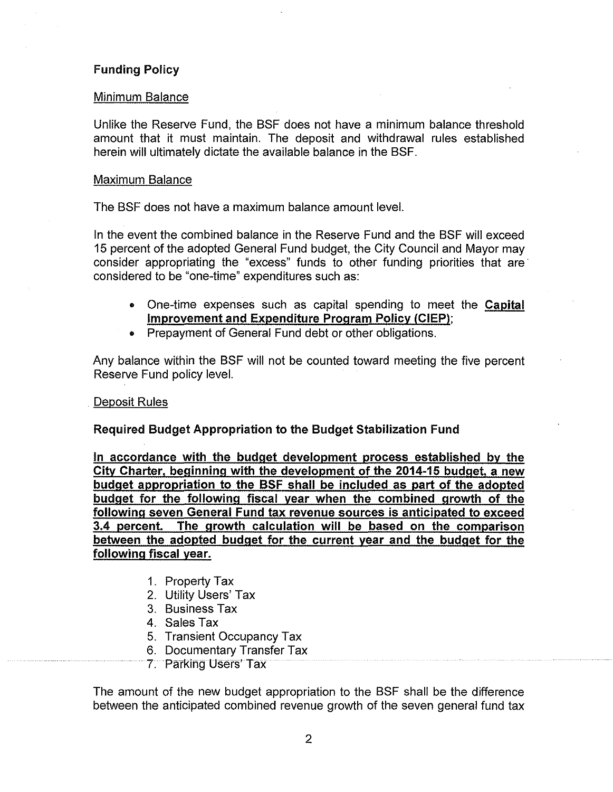# Funding Policy

### Minimum Balance

Unlike the Reserve Fund, the BSF does not *have* a minimum balance threshold amount that it must maintain. The deposit and withdrawal rules established herein will ultimately dictate the available balance in the BSF.

### Maximum Balance

The BSF does not *have* a maximum balance amount *level.*

In the *event* the combined balance in the Reserve Fund and the BSF will exceed 15 percent of the adopted General Fund budget, the City Council and Mayor may consider appropriating the "excess" funds to other funding priorities that are' considered to be "one-time" expenditures such as:

- One-time expenses such as capital spending to meet the Capital Improvement and Expenditure Program Policy (CIEP);
- Prepayment of General Fund debt or other obligations.

Any balance within the BSF will not be counted toward meeting the *five* percent Reserve Fund policy *level.*

## Deposit Rules

## Required Budget Appropriation to the Budget Stabilization Fund

In accordance with the budget development process established by the City Charter, beginning with the development of the 2014-15 budget, a new budget appropriation to the BSF shall be included as part of the adopted budget for the following fiscal year when the combined growth of the following seven General Fund tax revenue sources is anticipated to exceed 3.4 percent. The growth calculation will be based on the comparison between the adopted budget for the current year and the budget for the following fiscal year.

- 1. Property Tax
- 2. Utility Users' Tax
- 3. Business Tax
- 4. Sales Tax
- 5. Transient Occupancy Tax
- 6. Documentary Transfer Tax
- 7. Parking Users' Tax

The amount of the new budget appropriation to the BSF shall be the difference between the anticipated combined *revenue* growth of the *seven* general fund tax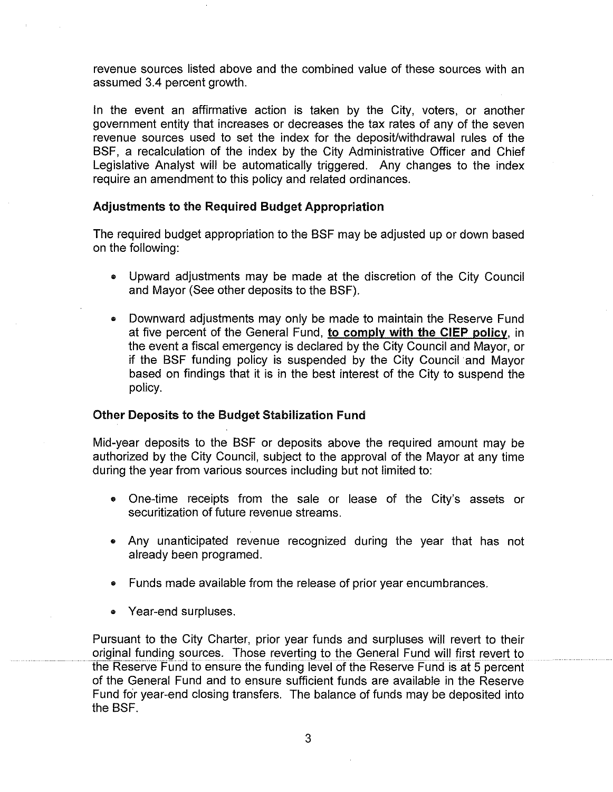revenue sources listed above and the combined value of these sources with an assumed 3.4 percent growth.

In the event an affirmative action is taken by the City, voters, or another government entity that increases or decreases the tax rates of any of the seven revenue sources used to set the index for the deposit/withdrawal rules of the BSF, a recalculation of the index by the City Administrative Officer and Chief Legislative Analyst will be automatically triggered. Any changes to the index require an amendment to this policy and related ordinances.

### Adjustments to the Required Budget Appropriation

The required budget appropriation to the BSF may be adjusted up or down based on the following:

- Upward adjustments may be made at the discretion of the City Council and Mayor (See other deposits to the BSF).
- Downward adjustments may only be made to maintain the Reserve Fund at five percent of the General Fund, to comply with the **CIEP** policy. in the event a fiscal emergency is declared by the City Council and Mayor, or if the BSF funding policy is suspended by the City Council and Mayor based on findings that it is in the best interest of the City to suspend the policy.

### Other Deposits to the Budget Stabilization Fund

Mid-year deposits to the BSF or deposits above the required amount may be authorized by the City Council, subject to the approval of the Mayor at any time during the year from various sources including but not limited to:

- One-time receipts from the sale or lease of the City's assets or securitization of future revenue streams.
- Any unanticipated revenue recognized during the year that has not already been programed.
- Funds made available from the release of prior year encumbrances.
- Year-end surpluses.

Pursuant to the City Charter, prior year funds and surpluses will revert to their original funding sources. Those reverting to the General Fund will first revert to the Reserve Fund to ensure the funding level of the Reserve Fund is at 5 percent of the General Fund and to ensure sufficient funds are available in the Reserve Fund for year-end closing transfers. The balance of funds may be deposited into the BSF.